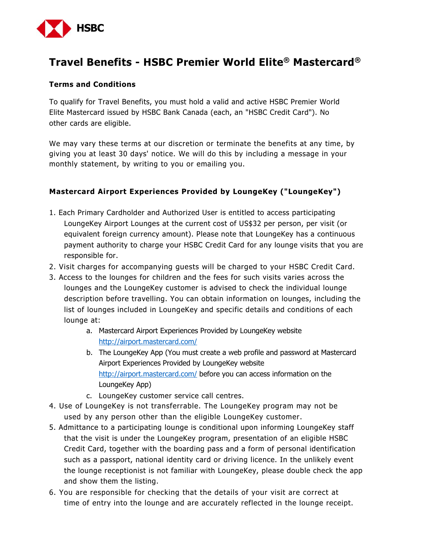

# **Travel Benefits - HSBC Premier World Elite® Mastercard®**

#### **Terms and Conditions**

To qualify for Travel Benefits, you must hold a valid and active HSBC Premier World Elite Mastercard issued by HSBC Bank Canada (each, an "HSBC Credit Card"). No other cards are eligible.

We may vary these terms at our discretion or terminate the benefits at any time, by giving you at least 30 days' notice. We will do this by including a message in your monthly statement, by writing to you or emailing you.

#### **Mastercard Airport Experiences Provided by LoungeKey ("LoungeKey")**

- 1. Each Primary Cardholder and Authorized User is entitled to access participating LoungeKey Airport Lounges at the current cost of US\$32 per person, per visit (or equivalent foreign currency amount). Please note that LoungeKey has a continuous payment authority to charge your HSBC Credit Card for any lounge visits that you are responsible for.
- 2. Visit charges for accompanying guests will be charged to your HSBC Credit Card.
- 3. Access to the lounges for children and the fees for such visits varies across the lounges and the LoungeKey customer is advised to check the individual lounge description before travelling. You can obtain information on lounges, including the list of lounges included in LoungeKey and specific details and conditions of each lounge at:
	- a. Mastercard Airport Experiences Provided by LoungeKey website http://airport.mastercard.com/
	- b. The LoungeKey App (You must create a web profile and password at Mastercard Airport Experiences Provided by LoungeKey website http://airport.mastercard.com/ before you can access information on the LoungeKey App)
	- c. LoungeKey customer service call centres.
- 4. Use of LoungeKey is not transferrable. The LoungeKey program may not be used by any person other than the eligible LoungeKey customer.
- 5. Admittance to a participating lounge is conditional upon informing LoungeKey staff that the visit is under the LoungeKey program, presentation of an eligible HSBC Credit Card, together with the boarding pass and a form of personal identification such as a passport, national identity card or driving licence. In the unlikely event the lounge receptionist is not familiar with LoungeKey, please double check the app and show them the listing.
- 6. You are responsible for checking that the details of your visit are correct at time of entry into the lounge and are accurately reflected in the lounge receipt.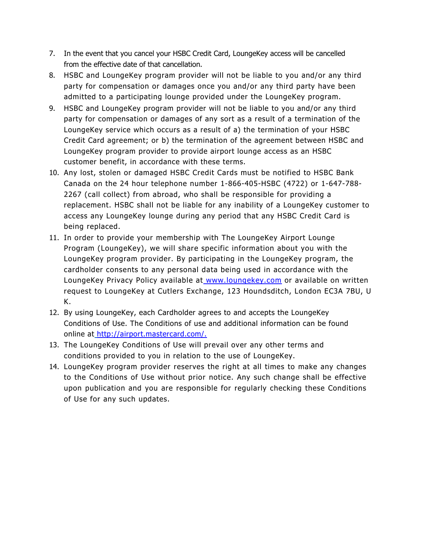- 7. In the event that you cancel your HSBC Credit Card, LoungeKey access will be cancelled from the effective date of that cancellation.
- 8. HSBC and LoungeKey program provider will not be liable to you and/or any third party for compensation or damages once you and/or any third party have been admitted to a participating lounge provided under the LoungeKey program.
- 9. HSBC and LoungeKey program provider will not be liable to you and/or any third party for compensation or damages of any sort as a result of a termination of the LoungeKey service which occurs as a result of a) the termination of your HSBC Credit Card agreement; or b) the termination of the agreement between HSBC and LoungeKey program provider to provide airport lounge access as an HSBC customer benefit, in accordance with these terms.
- 10. Any lost, stolen or damaged HSBC Credit Cards must be notified to HSBC Bank Canada on the 24 hour telephone number 1-866-405-HSBC (4722) or 1-647-788- 2267 (call collect) from abroad, who shall be responsible for providing a replacement. HSBC shall not be liable for any inability of a LoungeKey customer to access any LoungeKey lounge during any period that any HSBC Credit Card is being replaced.
- 11. In order to provide your membership with The LoungeKey Airport Lounge Program (LoungeKey), we will share specific information about you with the LoungeKey program provider. By participating in the LoungeKey program, the cardholder consents to any personal data being used in accordance with the LoungeKey Privacy Policy available at www.loungekey.com or available on written request to LoungeKey at Cutlers Exchange, 123 Houndsditch, London EC3A 7BU, U K.
- 12. By using LoungeKey, each Cardholder agrees to and accepts the LoungeKey Conditions of Use. The Conditions of use and additional information can be found online at http://airport.mastercard.com/.
- 13. The LoungeKey Conditions of Use will prevail over any other terms and conditions provided to you in relation to the use of LoungeKey.
- 14. LoungeKey program provider reserves the right at all times to make any changes to the Conditions of Use without prior notice. Any such change shall be effective upon publication and you are responsible for regularly checking these Conditions of Use for any such updates.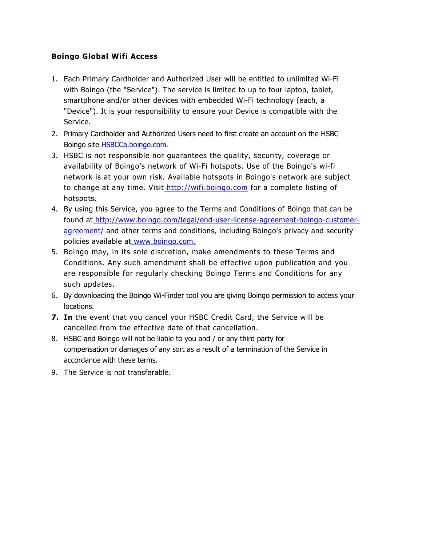### **Boingo Global Wifi Access**

- 1. Each Primary Cardholder and Authorized User will be entitled to unlimited Wi-Fi with Boingo (the "Service"). The service is limited to up to four laptop, tablet, smartphone and/or other devices with embedded Wi-Fi technology (each, a "Device"). It is your responsibility to ensure your Device is compatible with the Service.
- 2. Primary Cardholder and Authorized Users need to first create an account on the HSBC Boingo site HSBCCa.boingo.com.
- 3. HSBC is not responsible nor guarantees the quality, security, coverage or availability of Boingo's network of Wi-Fi hotspots. Use of the Boingo's wi-fi network is at your own risk. Available hotspots in Boingo's network are subject to change at any time. Visit\_http://wifi.boingo.com for a complete listing of hotspots.
- 4. By using this Service, you agree to the Terms and Conditions of Boingo that can be found at http://www.boingo.com/legal/end-user-license-agreement-boingo-customeragreement/ and other terms and conditions, including Boingo's privacy and security policies available at www.boingo.com.
- 5. Boingo may, in its sole discretion, make amendments to these Terms and Conditions. Any such amendment shall be effective upon publication and you are responsible for regularly checking Boingo Terms and Conditions for any such updates.
- 6. By downloading the Boingo Wi-Finder tool you are giving Boingo permission to access your locations.
- **7. In** the event that you cancel your HSBC Credit Card, the Service will be cancelled from the effective date of that cancellation.
- 8. HSBC and Boingo will not be liable to you and / or any third party for compensation or damages of any sort as a result of a termination of the Service in accordance with these terms.
- 9. The Service is not transferable.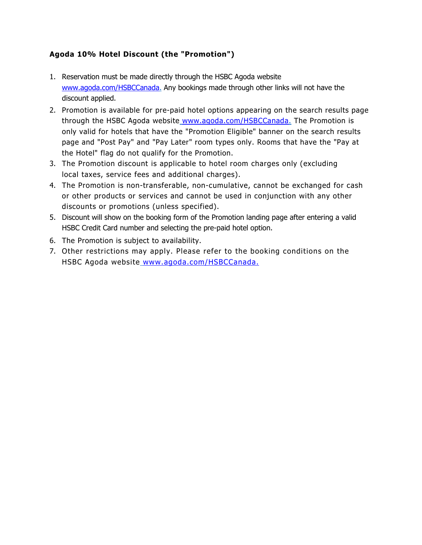## **Agoda 10% Hotel Discount (the "Promotion")**

- 1. Reservation must be made directly through the HSBC Agoda website www.agoda.com/HSBCCanada. Any bookings made through other links will not have the discount applied.
- 2. Promotion is available for pre-paid hotel options appearing on the search results page through the HSBC Agoda website www.agoda.com/HSBCCanada. The Promotion is only valid for hotels that have the "Promotion Eligible" banner on the search results page and "Post Pay" and "Pay Later" room types only. Rooms that have the "Pay at the Hotel" flag do not qualify for the Promotion.
- 3. The Promotion discount is applicable to hotel room charges only (excluding local taxes, service fees and additional charges).
- 4. The Promotion is non-transferable, non-cumulative, cannot be exchanged for cash or other products or services and cannot be used in conjunction with any other discounts or promotions (unless specified).
- 5. Discount will show on the booking form of the Promotion landing page after entering a valid HSBC Credit Card number and selecting the pre-paid hotel option.
- 6. The Promotion is subject to availability.
- 7. Other restrictions may apply. Please refer to the booking conditions on the HSBC Agoda website www.agoda.com/HSBCCanada.